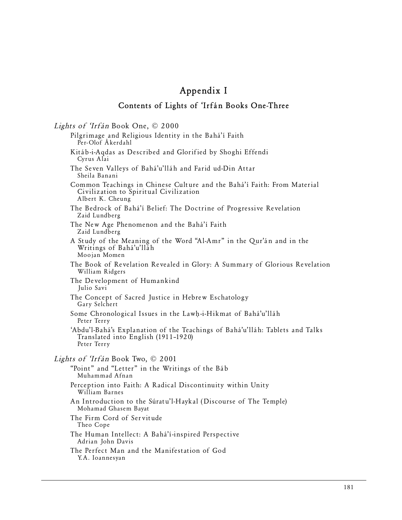## **Appendix I**

## **Contents of Lights of 'Irfán Books One-Three**

Lights of 'Irfán Book One, © 2000 Pilgrimage and Religious Identity in the Bahá'í Faith Per-Olof Åkerdahl Kitáb-i-Aqdas as Described and Glorified by Shoghi Effendi Cyrus Alai The Seven Valleys of Bahá'u'lláh and Farid ud-Din Attar Sheila Banani Common Teachings in Chinese Culture and the Bahá'í Faith: From Material Civilization to Spiritual Civilization Albert K. Cheung The Bedrock of Bahá'í Belief: The Doctrine of Progressive Revelation Zaid Lundberg The New Age Phenomenon and the Bahá'í Faith Zaid Lundberg A Study of the Meaning of the Word "Al-Amr" in the Qur'án and in the Writings of Bahá'u'lláh Moojan Momen The Book of Revelation Revealed in Glory: A Summary of Glorious Revelation William Ridgers The Development of Humankind Julio Savi The Concept of Sacred Justice in Hebrew Eschatology Gary Selchert Some Chronological Issues in the Lawh-i-Hikmat of Bahá'u'lláh Peter Terry 'Abdu'l-Bahá's Explanation of the Teachings of Bahá'u'lláh: Tablets and Talks Translated into English (1911–1920) Peter Terry Lights of 'Irfán Book Two, © 2001 "Point" and "Letter" in the Writings of the Báb Muhammad Afnan Perception into Faith: A Radical Discontinuity within Unity William Barnes An Introduction to the Súratu'l-Haykal (Discourse of The Temple) Mohamad Ghasem Bayat The Firm Cord of Servitude Theo Cope The Human Intellect: A Bahá'í-inspired Perspective Adrian John Davis The Perfect Man and the Manifestation of God Y.A. Ioannesyan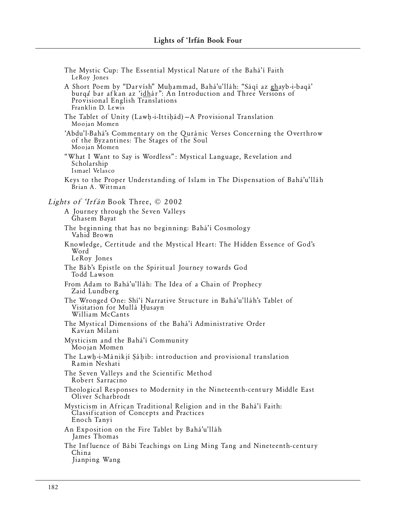| The Mystic Cup: The Essential Mystical Nature of the Bahá'í Faith<br>LeRoy Jones                                                                                                                      |
|-------------------------------------------------------------------------------------------------------------------------------------------------------------------------------------------------------|
| A Short Poem by "Darvísh" Muhammad, Bahá'u'lláh: "Sáqí az ghayb-i-baqá'<br>burqa bar afkan az 'idhár": An Introduction and Three Versions of<br>Provisional English Translations<br>Franklin D. Lewis |
| The Tablet of Unity (Lawh-i-Ittihad) - A Provisional Translation<br>Moojan Momen                                                                                                                      |
| 'Abdu'l-Bahá's Commentary on the Quránic Verses Concerning the Overthrow<br>of the Byzantines: The Stages of the Soul<br>Moojan Momen                                                                 |
| "What I Want to Say is Wordless": Mystical Language, Revelation and<br>Scholarship<br>Ismael Velasco                                                                                                  |
| Keys to the Proper Understanding of Islam in The Dispensation of Bahá'u'lláh<br>Brian A. Wittman                                                                                                      |
| <i>Lights of 'Irfán</i> Book Three, © 2002                                                                                                                                                            |
| A Journey through the Seven Valleys<br>Ghasem Bayat                                                                                                                                                   |
| The beginning that has no beginning: Bahá'í Cosmology<br>Vahid Brown                                                                                                                                  |
| Knowledge, Certitude and the Mystical Heart: The Hidden Essence of God's<br>Word<br>LeRoy Jones                                                                                                       |
| The Báb's Epistle on the Spiritual Journey towards God<br>Todd Lawson                                                                                                                                 |
| From Adam to Bahá'u'lláh: The Idea of a Chain of Prophecy<br>Zaid Lundberg                                                                                                                            |
| The Wronged One: Shi'i Narrative Structure in Bahá'u'lláh's Tablet of<br>Visitation for Mullá Husayn<br>William McCants                                                                               |
| The Mystical Dimensions of the Bahá'í Administrative Order<br>Kavian Milani                                                                                                                           |
| Mysticism and the Bahá'í Community<br>Moojan Momen                                                                                                                                                    |
| The Lawh-i-Mánikjí Sáhib: introduction and provisional translation<br>Kamin Neshati                                                                                                                   |
| The Seven Valleys and the Scientific Method<br>Robert Sarracino                                                                                                                                       |
| Theological Responses to Modernity in the Nineteenth-century Middle East<br>Oliver Scharbrodt                                                                                                         |
| Mysticism in African Traditional Religion and in the Bahá'í Faith:<br>Classification of Concepts and Practices<br>Enoch Tanyi                                                                         |
| An Exposition on the Fire Tablet by Bahá'u'lláh<br>James Thomas                                                                                                                                       |
| The Influence of Babi Teachings on Ling Ming Tang and Nineteenth-century<br>China<br>Jianping Wang                                                                                                    |